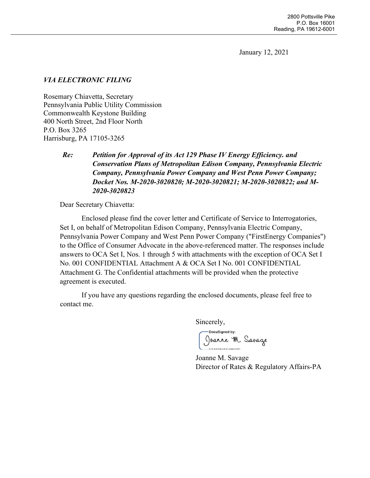January 12, 2021

## *VIA ELECTRONIC FILING*

Rosemary Chiavetta, Secretary Pennsylvania Public Utility Commission Commonwealth Keystone Building 400 North Street, 2nd Floor North P.O. Box 3265 Harrisburg, PA 17105-3265

# *Re: Petition for Approval of its Act 129 Phase IV Energy Efficiency. and Conservation Plans of Metropolitan Edison Company, Pennsylvania Electric Company, Pennsylvania Power Company and West Penn Power Company; Docket Nos. M-2020-3020820; M-2020-3020821; M-2020-3020822; and M-2020-3020823*

Dear Secretary Chiavetta:

Enclosed please find the cover letter and Certificate of Service to Interrogatories, Set I, on behalf of Metropolitan Edison Company, Pennsylvania Electric Company, Pennsylvania Power Company and West Penn Power Company ("FirstEnergy Companies") to the Office of Consumer Advocate in the above-referenced matter. The responses include answers to OCA Set I, Nos. 1 through 5 with attachments with the exception of OCA Set I No. 001 CONFIDENTIAL Attachment A & OCA Set I No. 001 CONFIDENTIAL Attachment G. The Confidential attachments will be provided when the protective agreement is executed.

If you have any questions regarding the enclosed documents, please feel free to contact me.

Sincerely,

DocuSigned by: 

Joanne M. Savage Director of Rates & Regulatory Affairs-PA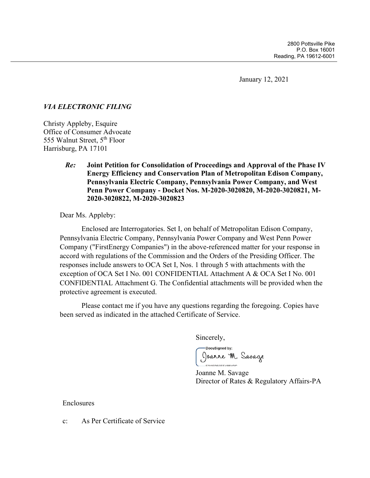January 12, 2021

## *VIA ELECTRONIC FILING*

Christy Appleby, Esquire Office of Consumer Advocate 555 Walnut Street, 5th Floor Harrisburg, PA 17101

## *Re:* **Joint Petition for Consolidation of Proceedings and Approval of the Phase IV Energy Efficiency and Conservation Plan of Metropolitan Edison Company, Pennsylvania Electric Company, Pennsylvania Power Company, and West Penn Power Company - Docket Nos. M-2020-3020820, M-2020-3020821, M-2020-3020822, M-2020-3020823**

Dear Ms. Appleby:

Enclosed are Interrogatories. Set I, on behalf of Metropolitan Edison Company, Pennsylvania Electric Company, Pennsylvania Power Company and West Penn Power Company ("FirstEnergy Companies") in the above-referenced matter for your response in accord with regulations of the Commission and the Orders of the Presiding Officer. The responses include answers to OCA Set I, Nos. 1 through 5 with attachments with the exception of OCA Set I No. 001 CONFIDENTIAL Attachment A & OCA Set I No. 001 CONFIDENTIAL Attachment G. The Confidential attachments will be provided when the protective agreement is executed.

Please contact me if you have any questions regarding the foregoing. Copies have been served as indicated in the attached Certificate of Service.

Sincerely,

**DocuSianed by:** Joanne M. Savage

Joanne M. Savage Director of Rates & Regulatory Affairs-PA

Enclosures

c: As Per Certificate of Service